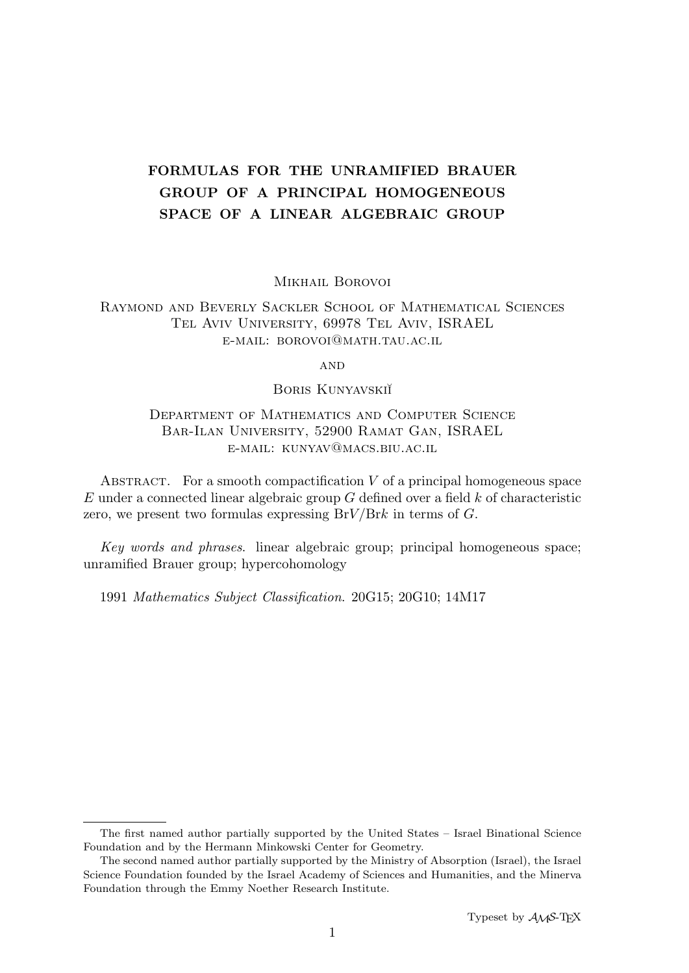# FORMULAS FOR THE UNRAMIFIED BRAUER GROUP OF A PRINCIPAL HOMOGENEOUS SPACE OF A LINEAR ALGEBRAIC GROUP

Mikhail Borovoi

## Raymond and Beverly Sackler School of Mathematical Sciences Tel Aviv University, 69978 Tel Aviv, ISRAEL e-mail: borovoi@math.tau.ac.il

**AND** 

BORIS KUNYAVSKI<sup>T</sup>

# Department of Mathematics and Computer Science Bar-Ilan University, 52900 Ramat Gan, ISRAEL e-mail: kunyav@macs.biu.ac.il

ABSTRACT. For a smooth compactification  $V$  of a principal homogeneous space  $E$  under a connected linear algebraic group  $G$  defined over a field  $k$  of characteristic zero, we present two formulas expressing  $BrV/Brk$  in terms of G.

Key words and phrases. linear algebraic group; principal homogeneous space; unramified Brauer group; hypercohomology

1991 Mathematics Subject Classification. 20G15; 20G10; 14M17

The first named author partially supported by the United States – Israel Binational Science Foundation and by the Hermann Minkowski Center for Geometry.

The second named author partially supported by the Ministry of Absorption (Israel), the Israel Science Foundation founded by the Israel Academy of Sciences and Humanities, and the Minerva Foundation through the Emmy Noether Research Institute.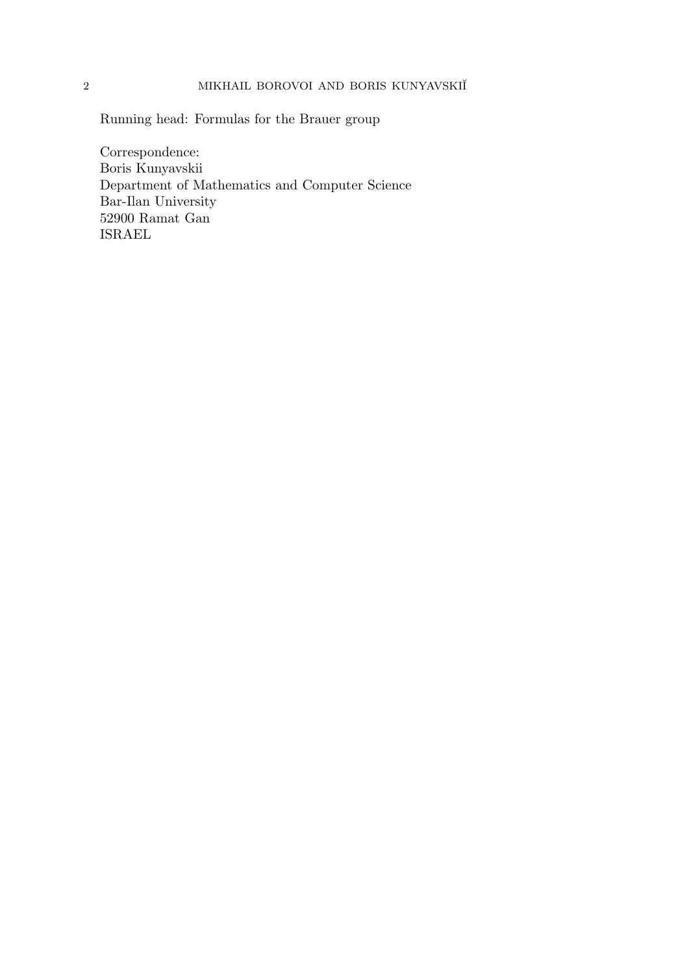Running head: Formulas for the Brauer group

Correspondence: Boris Kunyavskii Department of Mathematics and Computer Science Bar-Ilan University 52900 Ramat Gan ISRAEL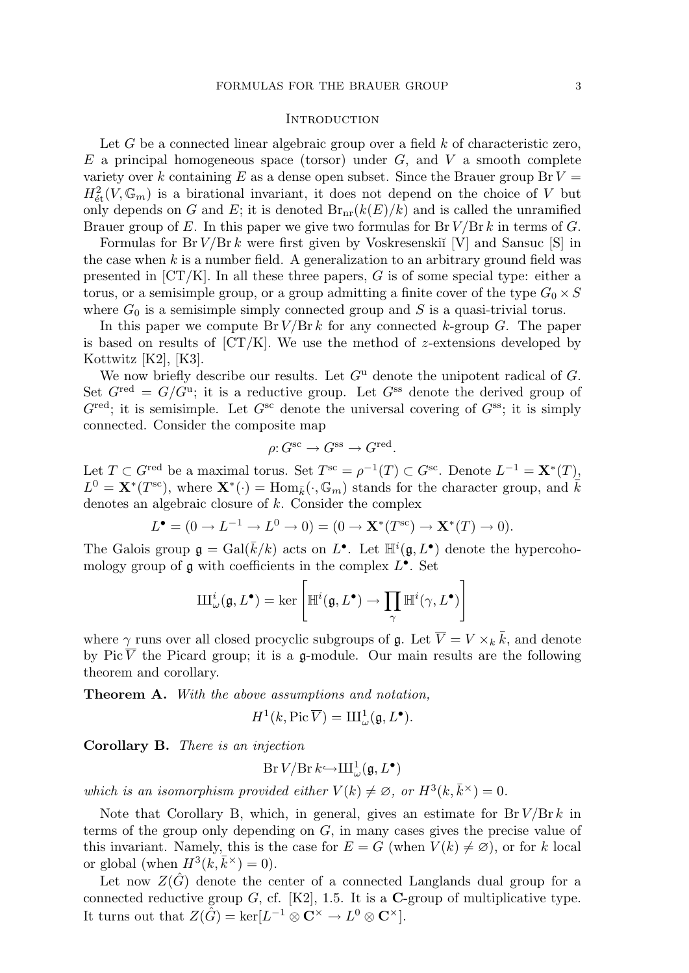#### **INTRODUCTION**

Let  $G$  be a connected linear algebraic group over a field  $k$  of characteristic zero,  $E$  a principal homogeneous space (torsor) under  $G$ , and  $V$  a smooth complete variety over k containing E as a dense open subset. Since the Brauer group  $Br V =$  $H^2_{\text{\'et}}(V,\mathbb{G}_m)$  is a birational invariant, it does not depend on the choice of V but only depends on G and E; it is denoted  $Br_{nr}(k(E)/k)$  and is called the unramified Brauer group of E. In this paper we give two formulas for  $Br V/Br k$  in terms of G.

Formulas for  $Br V/Br k$  were first given by Voskresenski $V$ [V] and Sansuc [S] in the case when  $k$  is a number field. A generalization to an arbitrary ground field was presented in  $[CT/K]$ . In all these three papers, G is of some special type: either a torus, or a semisimple group, or a group admitting a finite cover of the type  $G_0 \times S$ where  $G_0$  is a semisimple simply connected group and S is a quasi-trivial torus.

In this paper we compute  $Br V/Br k$  for any connected k-group G. The paper is based on results of  $\left[CT/K\right]$ . We use the method of *z*-extensions developed by Kottwitz [K2], [K3].

We now briefly describe our results. Let  $G^{\mathrm{u}}$  denote the unipotent radical of G. Set  $G^{\text{red}} = G/G^{\text{u}}$ ; it is a reductive group. Let  $G^{\text{ss}}$  denote the derived group of  $G^{\text{red}}$ ; it is semisimple. Let  $G^{\text{sc}}$  denote the universal covering of  $G^{\text{ss}}$ ; it is simply connected. Consider the composite map

$$
\rho: G^{\text{sc}} \to G^{\text{ss}} \to G^{\text{red}}.
$$

Let  $T \subset G^{\text{red}}$  be a maximal torus. Set  $T^{\text{sc}} = \rho^{-1}(T) \subset G^{\text{sc}}$ . Denote  $L^{-1} = \mathbf{X}^*(T)$ ,  $L^0 = \mathbf{X}^*(T^{\text{sc}})$ , where  $\mathbf{X}^*(\cdot) = \text{Hom}_{\bar{k}}(\cdot, \mathbb{G}_m)$  stands for the character group, and  $\bar{k}$ denotes an algebraic closure of k. Consider the complex

$$
L^{\bullet} = (0 \to L^{-1} \to L^{0} \to 0) = (0 \to \mathbf{X}^{*}(T^{\text{sc}}) \to \mathbf{X}^{*}(T) \to 0).
$$

The Galois group  $\mathfrak{g} = \text{Gal}(\bar{k}/k)$  acts on  $L^{\bullet}$ . Let  $\mathbb{H}^{i}(\mathfrak{g}, L^{\bullet})$  denote the hypercohomology group of  $\mathfrak g$  with coefficients in the complex  $L^{\bullet}$ . Set

$$
\mathrm{III}^{i}_{\omega}(\mathfrak{g},L^{\bullet}) = \ker \left[ \mathbb{H}^{i}(\mathfrak{g},L^{\bullet}) \to \prod_{\gamma} \mathbb{H}^{i}(\gamma,L^{\bullet}) \right]
$$

where  $\gamma$  runs over all closed procyclic subgroups of  $\mathfrak{g}$ . Let  $\overline{V} = V \times_k \overline{k}$ , and denote by Pic  $\overline{V}$  the Picard group; it is a g-module. Our main results are the following theorem and corollary.

Theorem A. With the above assumptions and notation,

$$
H^1(k, \mathrm{Pic}\,\overline V) = \mathrm{III}^1_{\omega}(\mathfrak{g}, L^{\bullet}).
$$

Corollary B. There is an injection

$$
\mathop{\text{\rm Br}}\nolimits V / \mathop{\text{\rm Br}}\nolimits k {\hookrightarrow} \mathop{\text{\rm III}}\nolimits^1_\omega(\mathfrak{g}, L^\bullet)
$$

which is an isomorphism provided either  $V(k) \neq \emptyset$ , or  $H^3(k, \bar{k}^{\times}) = 0$ .

Note that Corollary B, which, in general, gives an estimate for  $Br V/Br k$  in terms of the group only depending on G, in many cases gives the precise value of this invariant. Namely, this is the case for  $E = G$  (when  $V(k) \neq \emptyset$ ), or for k local or global (when  $H^3(k, \bar{k}^{\times}) = 0$ ).

Let now  $Z(\tilde{G})$  denote the center of a connected Langlands dual group for a connected reductive group  $G$ , cf. [K2], 1.5. It is a **C**-group of multiplicative type. It turns out that  $Z(\hat{G}) = \ker[L^{-1} \otimes \mathbf{C}^{\times} \to L^{0} \otimes \mathbf{C}^{\times}].$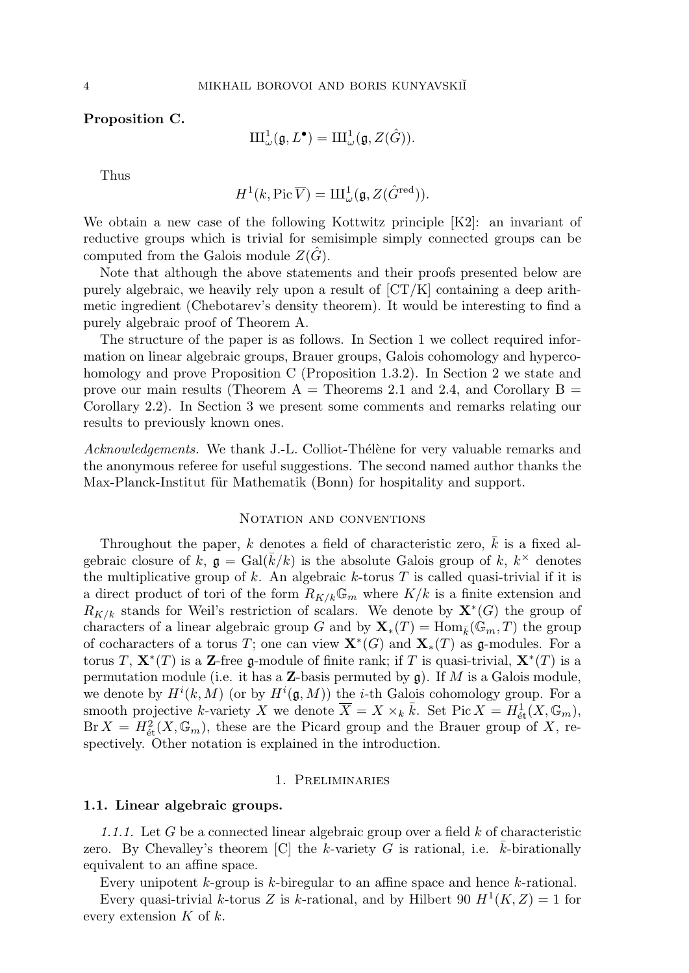Proposition C.

$$
\mathrm{III}^1_{\omega}(\mathfrak{g}, L^{\bullet})=\mathrm{III}^1_{\omega}(\mathfrak{g}, Z(\hat{G})).
$$

Thus

$$
H^1(k, \mathrm{Pic}\,\overline V) = \mathrm{I\hspace{-.1em}I\hspace{-.1em}I}^1_\omega(\mathfrak{g}, Z(\hat G^\mathrm{red})).
$$

We obtain a new case of the following Kottwitz principle [K2]: an invariant of reductive groups which is trivial for semisimple simply connected groups can be computed from the Galois module  $Z(G)$ .

Note that although the above statements and their proofs presented below are purely algebraic, we heavily rely upon a result of  $[CT/K]$  containing a deep arithmetic ingredient (Chebotarev's density theorem). It would be interesting to find a purely algebraic proof of Theorem A.

The structure of the paper is as follows. In Section 1 we collect required information on linear algebraic groups, Brauer groups, Galois cohomology and hypercohomology and prove Proposition C (Proposition 1.3.2). In Section 2 we state and prove our main results (Theorem A = Theorems 2.1 and 2.4, and Corollary B = Corollary 2.2). In Section 3 we present some comments and remarks relating our results to previously known ones.

Acknowledgements. We thank J.-L. Colliot-Thélène for very valuable remarks and the anonymous referee for useful suggestions. The second named author thanks the Max-Planck-Institut für Mathematik (Bonn) for hospitality and support.

#### NOTATION AND CONVENTIONS

Throughout the paper, k denotes a field of characteristic zero,  $\overline{k}$  is a fixed algebraic closure of  $k, \mathfrak{g} = \text{Gal}(\bar{k}/k)$  is the absolute Galois group of  $k, k^{\times}$  denotes the multiplicative group of  $k$ . An algebraic  $k$ -torus  $T$  is called quasi-trivial if it is a direct product of tori of the form  $R_{K/k}\mathbb{G}_m$  where  $K/k$  is a finite extension and  $R_{K/k}$  stands for Weil's restriction of scalars. We denote by  $\mathbf{X}^*(G)$  the group of characters of a linear algebraic group G and by  $\mathbf{X}_*(T) = \text{Hom}_{\bar{k}}(\mathbb{G}_m, T)$  the group of cocharacters of a torus T; one can view  $\mathbf{X}^*(G)$  and  $\mathbf{X}_*(T)$  as  $\mathfrak{g}\text{-modules.}$  For a torus T,  $\mathbf{X}^*(T)$  is a Z-free g-module of finite rank; if T is quasi-trivial,  $\mathbf{X}^*(T)$  is a permutation module (i.e. it has a **Z**-basis permuted by  $\mathfrak{g}$ ). If M is a Galois module, we denote by  $H^{i}(k, M)$  (or by  $H^{i}(\mathfrak{g}, M)$ ) the *i*-th Galois cohomology group. For a smooth projective k-variety X we denote  $\overline{X} = X \times_k \overline{k}$ . Set Pic  $X = H^1_{\text{\'et}}(X, \mathbb{G}_m)$ ,  $Br X = H^2_{\text{\'et}}(X, \mathbb{G}_m)$ , these are the Picard group and the Brauer group of X, respectively. Other notation is explained in the introduction.

#### 1. Preliminaries

#### 1.1. Linear algebraic groups.

1.1.1. Let G be a connected linear algebraic group over a field  $k$  of characteristic zero. By Chevalley's theorem  $[C]$  the k-variety G is rational, i.e. k-birationally equivalent to an affine space.

Every unipotent  $k$ -group is  $k$ -biregular to an affine space and hence  $k$ -rational.

Every quasi-trivial k-torus Z is k-rational, and by Hilbert 90  $H^1(K, Z) = 1$  for every extension  $K$  of  $k$ .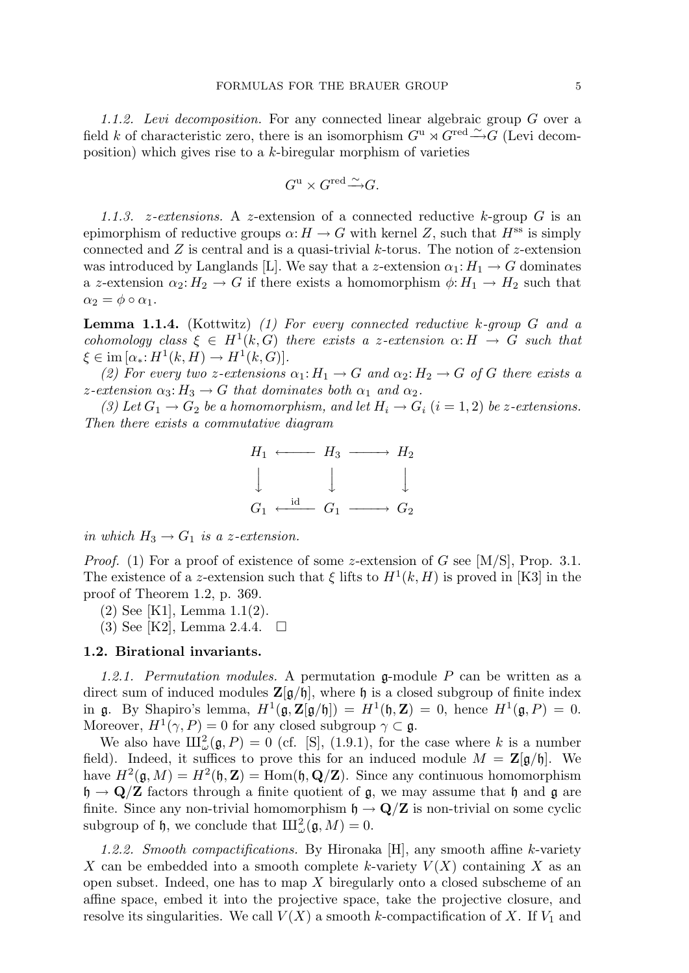1.1.2. Levi decomposition. For any connected linear algebraic group G over a field k of characteristic zero, there is an isomorphism  $G^{\mathrm{u}} \rtimes \widetilde{G}^{\mathrm{red}} \stackrel{\sim}{\longrightarrow} \widetilde{G}$  (Levi decomposition) which gives rise to a  $k$ -biregular morphism of varieties

$$
G^{\mathrm{u}} \times G^{\mathrm{red}} \widetilde{\longrightarrow} G.
$$

1.1.3. *z*-extensions. A *z*-extension of a connected reductive  $k$ -group  $G$  is an epimorphism of reductive groups  $\alpha: H \to G$  with kernel Z, such that  $H^{ss}$  is simply connected and  $Z$  is central and is a quasi-trivial  $k$ -torus. The notion of  $z$ -extension was introduced by Langlands [L]. We say that a z-extension  $\alpha_1: H_1 \to G$  dominates a z-extension  $\alpha_2: H_2 \to G$  if there exists a homomorphism  $\phi: H_1 \to H_2$  such that  $\alpha_2 = \phi \circ \alpha_1.$ 

**Lemma 1.1.4.** (Kottwitz) (1) For every connected reductive  $k$ -group  $G$  and a cohomology class  $\xi \in H^1(k, G)$  there exists a z-extension  $\alpha: H \to G$  such that  $\xi \in \text{im} \left[ \alpha_* \colon H^1(k, H) \to H^1(k, G) \right].$ 

(2) For every two z-extensions  $\alpha_1: H_1 \to G$  and  $\alpha_2: H_2 \to G$  of G there exists a z-extension  $\alpha_3: H_3 \to G$  that dominates both  $\alpha_1$  and  $\alpha_2$ .

(3) Let  $G_1 \rightarrow G_2$  be a homomorphism, and let  $H_i \rightarrow G_i$   $(i = 1, 2)$  be z-extensions. Then there exists a commutative diagram



in which  $H_3 \to G_1$  is a z-extension.

*Proof.* (1) For a proof of existence of some z-extension of G see [M/S], Prop. 3.1. The existence of a z-extension such that  $\xi$  lifts to  $H^1(k, H)$  is proved in [K3] in the proof of Theorem 1.2, p. 369.

(2) See [K1], Lemma 1.1(2).

 $(3)$  See [K2], Lemma 2.4.4.  $\Box$ 

#### 1.2. Birational invariants.

1.2.1. Permutation modules. A permutation g-module P can be written as a direct sum of induced modules  $\mathbb{Z}[g/\mathfrak{h}]$ , where  $\mathfrak{h}$  is a closed subgroup of finite index in g. By Shapiro's lemma,  $H^1(\mathfrak{g},\mathbf{Z}[\mathfrak{g}/\mathfrak{h}]) = H^1(\mathfrak{h},\mathbf{Z}) = 0$ , hence  $H^1(\mathfrak{g},P) = 0$ . Moreover,  $H^1(\gamma, P) = 0$  for any closed subgroup  $\gamma \subset \mathfrak{g}$ .

We also have  $\text{III}^2_\omega(\mathfrak{g}, P) = 0$  (cf. [S], (1.9.1), for the case where k is a number field). Indeed, it suffices to prove this for an induced module  $M = \mathbb{Z}[\mathfrak{g}/\mathfrak{h}]$ . We have  $H^2(\mathfrak{g},M) = H^2(\mathfrak{h},\mathbf{Z}) = \text{Hom}(\mathfrak{h},\mathbf{Q}/\mathbf{Z})$ . Since any continuous homomorphism  $\mathfrak{h} \to \mathbf{Q}/\mathbf{Z}$  factors through a finite quotient of  $\mathfrak{g}$ , we may assume that  $\mathfrak{h}$  and  $\mathfrak{g}$  are finite. Since any non-trivial homomorphism  $\mathfrak{h} \to \mathbf{Q}/\mathbf{Z}$  is non-trivial on some cyclic subgroup of  $\mathfrak{h}$ , we conclude that  $\mathrm{III}^2_{\omega}(\mathfrak{g}, M) = 0$ .

1.2.2. Smooth compactifications. By Hironaka [H], any smooth affine k-variety X can be embedded into a smooth complete k-variety  $V(X)$  containing X as an open subset. Indeed, one has to map  $X$  biregularly onto a closed subscheme of an affine space, embed it into the projective space, take the projective closure, and resolve its singularities. We call  $V(X)$  a smooth k-compactification of X. If  $V_1$  and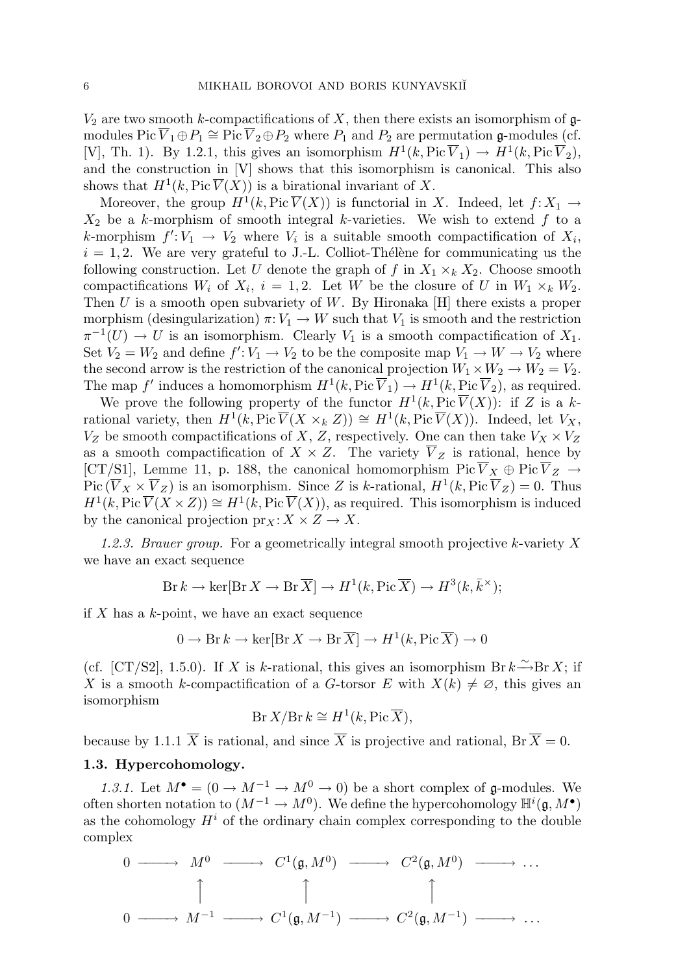$V_2$  are two smooth k-compactifications of X, then there exists an isomorphism of  $\mathfrak{g}$ modules Pic  $\overline{V}_1 \oplus P_1 \cong \text{Pic } \overline{V}_2 \oplus P_2$  where  $P_1$  and  $P_2$  are permutation g-modules (cf. [V], Th. 1). By 1.2.1, this gives an isomorphism  $H^1(k, Pic \overline{V}_1) \to H^1(k, Pic \overline{V}_2)$ , and the construction in [V] shows that this isomorphism is canonical. This also shows that  $H^1(k, Pic \overline{V}(X))$  is a birational invariant of X.

Moreover, the group  $H^1(k, Pic\overline{V}(X))$  is functorial in X. Indeed, let  $f: X_1 \to Y_1$  $X_2$  be a k-morphism of smooth integral k-varieties. We wish to extend f to a k-morphism  $f' : V_1 \to V_2$  where  $V_i$  is a suitable smooth compactification of  $X_i$ ,  $i = 1, 2$ . We are very grateful to J.-L. Colliot-Thélène for communicating us the following construction. Let U denote the graph of f in  $X_1 \times_k X_2$ . Choose smooth compactifications  $W_i$  of  $X_i$ ,  $i = 1, 2$ . Let W be the closure of U in  $W_1 \times_k W_2$ . Then  $U$  is a smooth open subvariety of  $W$ . By Hironaka [H] there exists a proper morphism (desingularization)  $\pi: V_1 \to W$  such that  $V_1$  is smooth and the restriction  $\pi^{-1}(U) \to U$  is an isomorphism. Clearly  $V_1$  is a smooth compactification of  $X_1$ . Set  $V_2 = W_2$  and define  $f' : V_1 \to V_2$  to be the composite map  $V_1 \to W \to V_2$  where the second arrow is the restriction of the canonical projection  $W_1 \times W_2 \to W_2 = V_2$ . The map f' induces a homomorphism  $H^1(k, Pic \overline{V}_1) \to H^1(k, Pic \overline{V}_2)$ , as required.

We prove the following property of the functor  $H^1(k, Pic\overline{V}(X))$ : if Z is a krational variety, then  $H^1(k, \text{Pic }\overline{V}(X \times_k Z)) \cong H^1(k, \text{Pic }\overline{V}(X))$ . Indeed, let  $V_X$ ,  $V_Z$  be smooth compactifications of X, Z, respectively. One can then take  $V_X \times V_Z$ as a smooth compactification of  $X \times Z$ . The variety  $\overline{V}_Z$  is rational, hence by [CT/S1], Lemme 11, p. 188, the canonical homomorphism Pic  $\overline{V}_X \oplus \text{Pic } \overline{V}_Z \to$ Pic  $(\overline{V}_X \times \overline{V}_Z)$  is an isomorphism. Since Z is k-rational,  $H^1(k, Pic \overline{V}_Z) = 0$ . Thus  $H^1(k, \text{Pic }\overline{V}(X \times Z)) \cong H^1(k, \text{Pic }\overline{V}(X))$ , as required. This isomorphism is induced by the canonical projection  $\text{pr}_X: X \times Z \to X$ .

1.2.3. Brauer group. For a geometrically integral smooth projective k-variety  $X$ we have an exact sequence

$$
Br k \to \ker[Br X \to Br\overline{X}] \to H^1(k, Pic\overline{X}) \to H^3(k, \overline{k}^{\times});
$$

if  $X$  has a  $k$ -point, we have an exact sequence

$$
0 \to \text{Br } k \to \text{ker}[\text{Br } X \to \text{Br } \overline{X}] \to H^1(k, \text{Pic } \overline{X}) \to 0
$$

(cf. [CT/S2], 1.5.0). If X is k-rational, this gives an isomorphism Br  $k \rightarrow Br X$ ; if X is a smooth k-compactification of a G-torsor E with  $X(k) \neq \emptyset$ , this gives an isomorphism

$$
Br X/Br k \cong H^1(k, \text{Pic }\overline{X}),
$$

because by 1.1.1  $\overline{X}$  is rational, and since  $\overline{X}$  is projective and rational, Br  $\overline{X} = 0$ .

### 1.3. Hypercohomology.

1.3.1. Let  $M^{\bullet} = (0 \to M^{-1} \to M^{0} \to 0)$  be a short complex of g-modules. We often shorten notation to  $(M^{-1} \to M^0)$ . We define the hypercohomology  $\mathbb{H}^i(\mathfrak{g}, M^{\bullet})$ as the cohomology  $H^i$  of the ordinary chain complex corresponding to the double complex

$$
\begin{array}{ccccccccc}\n0 & \longrightarrow & M^0 & \longrightarrow & C^1(\mathfrak{g}, M^0) & \longrightarrow & C^2(\mathfrak{g}, M^0) & \longrightarrow & \dots \\
\uparrow & & & & & & \\
0 & \longrightarrow & M^{-1} & \longrightarrow & C^1(\mathfrak{g}, M^{-1}) & \longrightarrow & C^2(\mathfrak{g}, M^{-1}) & \longrightarrow & \dots\n\end{array}
$$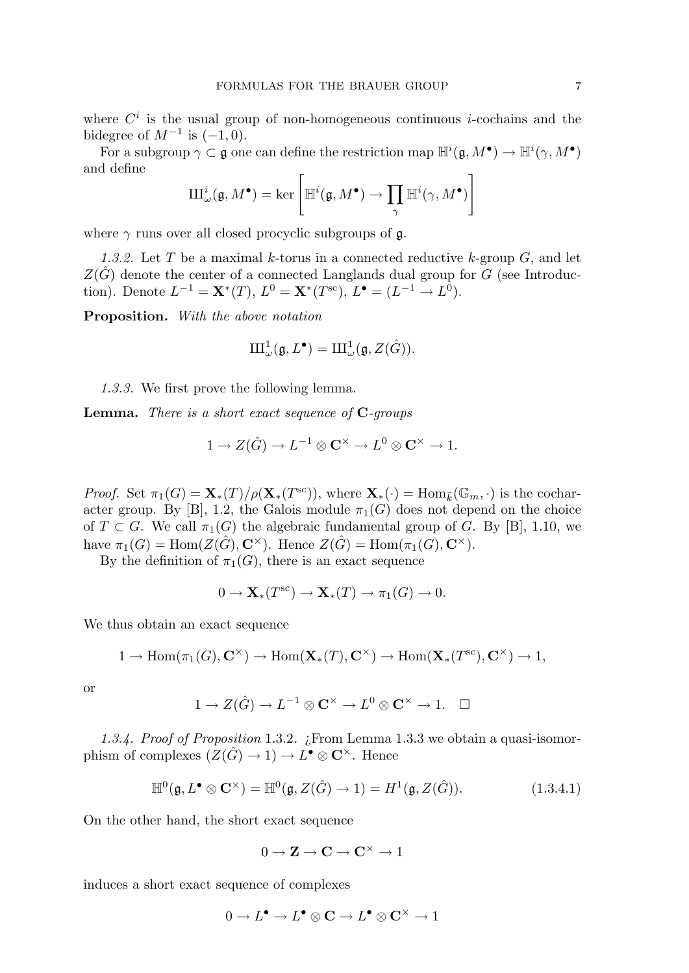where  $C<sup>i</sup>$  is the usual group of non-homogeneous continuous *i*-cochains and the bidegree of  $M^{-1}$  is  $(-1,0)$ .

For a subgroup  $\gamma \subset \mathfrak{g}$  one can define the restriction map  $\mathbb{H}^i(\mathfrak{g},M^{\bullet}) \to \mathbb{H}^i(\gamma,M^{\bullet})$ and define

$$
\mathrm{III}^i_{\omega}(\mathfrak{g},M^{\bullet})=\ker\left[\mathbb{H}^i(\mathfrak{g},M^{\bullet})\to \prod_{\gamma}\mathbb{H}^i(\gamma,M^{\bullet})\right]
$$

where  $\gamma$  runs over all closed procyclic subgroups of  $\mathfrak{g}$ .

1.3.2. Let T be a maximal k-torus in a connected reductive k-group  $G$ , and let  $Z(\hat{G})$  denote the center of a connected Langlands dual group for G (see Introduction). Denote  $L^{-1} = \mathbf{X}^*(T)$ ,  $L^0 = \mathbf{X}^*(T^{\text{sc}})$ ,  $L^{\bullet} = (L^{-1} \to L^0)$ .

Proposition. With the above notation

$$
\mathrm{III}^1_{\omega}(\mathfrak{g}, L^{\bullet})=\mathrm{III}^1_{\omega}(\mathfrak{g}, Z(\hat{G})).
$$

1.3.3. We first prove the following lemma.

**Lemma.** There is a short exact sequence of  $C$ -groups

$$
1 \to Z(\hat{G}) \to L^{-1} \otimes \mathbf{C}^{\times} \to L^{0} \otimes \mathbf{C}^{\times} \to 1.
$$

*Proof.* Set  $\pi_1(G) = \mathbf{X}_*(T) / \rho(\mathbf{X}_*(T^{\text{sc}}))$ , where  $\mathbf{X}_*(\cdot) = \text{Hom}_{\bar{k}}(\mathbb{G}_m, \cdot)$  is the cocharacter group. By [B], 1.2, the Galois module  $\pi_1(G)$  does not depend on the choice of  $T \subset G$ . We call  $\pi_1(G)$  the algebraic fundamental group of G. By [B], 1.10, we have  $\pi_1(G) = \text{Hom}(Z(\hat{G}), \mathbf{C}^{\times})$ . Hence  $Z(\hat{G}) = \text{Hom}(\pi_1(G), \mathbf{C}^{\times})$ .

By the definition of  $\pi_1(G)$ , there is an exact sequence

$$
0 \to \mathbf{X}_*(T^{\mathrm{sc}}) \to \mathbf{X}_*(T) \to \pi_1(G) \to 0.
$$

We thus obtain an exact sequence

$$
1 \to \text{Hom}(\pi_1(G), \mathbf{C}^{\times}) \to \text{Hom}(\mathbf{X}_*(T), \mathbf{C}^{\times}) \to \text{Hom}(\mathbf{X}_*(T^{\text{sc}}), \mathbf{C}^{\times}) \to 1,
$$

or

$$
1 \to Z(\hat{G}) \to L^{-1} \otimes \mathbf{C}^{\times} \to L^{0} \otimes \mathbf{C}^{\times} \to 1. \quad \Box
$$

1.3.4. Proof of Proposition 1.3.2. ¿From Lemma 1.3.3 we obtain a quasi-isomorphism of complexes  $(Z(\hat{G}) \to 1) \to L^{\bullet} \otimes \mathbb{C}^{\times}$ . Hence

$$
\mathbb{H}^0(\mathfrak{g}, L^{\bullet} \otimes \mathbf{C}^{\times}) = \mathbb{H}^0(\mathfrak{g}, Z(\hat{G}) \to 1) = H^1(\mathfrak{g}, Z(\hat{G})). \tag{1.3.4.1}
$$

On the other hand, the short exact sequence

 $0 \to \mathbf{Z} \to \mathbf{C} \to \mathbf{C}^\times \to 1$ 

induces a short exact sequence of complexes

$$
0 \to L^{\bullet} \to L^{\bullet} \otimes {\bf C} \to L^{\bullet} \otimes {\bf C}^{\times} \to 1
$$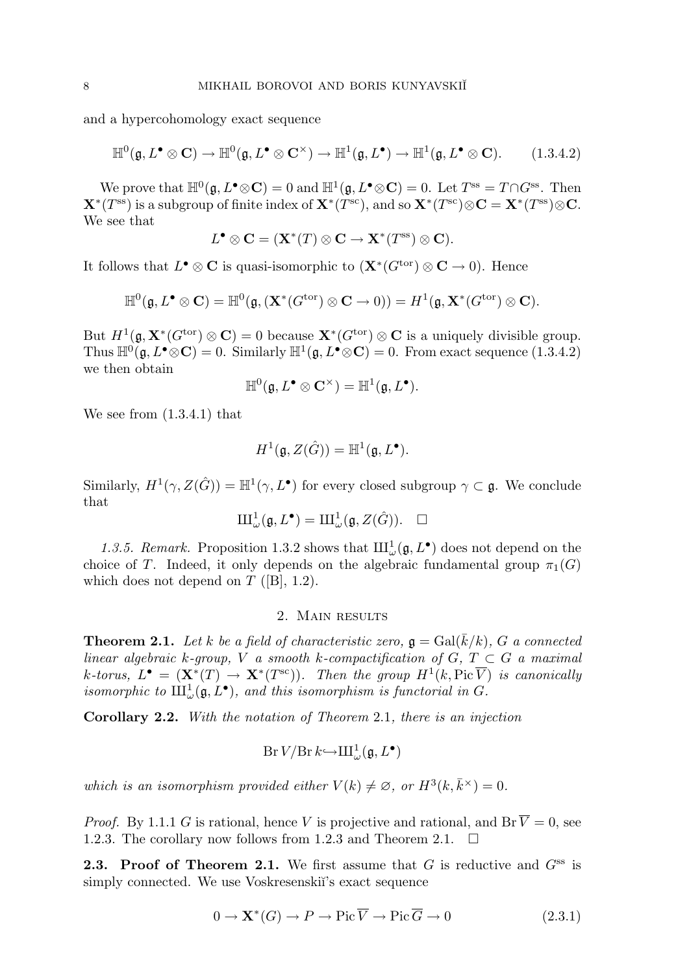and a hypercohomology exact sequence

$$
\mathbb{H}^0(\mathfrak{g}, L^{\bullet} \otimes \mathbf{C}) \to \mathbb{H}^0(\mathfrak{g}, L^{\bullet} \otimes \mathbf{C}^{\times}) \to \mathbb{H}^1(\mathfrak{g}, L^{\bullet}) \to \mathbb{H}^1(\mathfrak{g}, L^{\bullet} \otimes \mathbf{C}).
$$
 (1.3.4.2)

We prove that  $\mathbb{H}^0(\mathfrak{g}, L^{\bullet} \otimes \mathbb{C}) = 0$  and  $\mathbb{H}^1(\mathfrak{g}, L^{\bullet} \otimes \mathbb{C}) = 0$ . Let  $T^{\text{ss}} = T \cap G^{\text{ss}}$ . Then  $\mathbf{X}^*(T^{\text{ss}})$  is a subgroup of finite index of  $\mathbf{X}^*(T^{\text{sc}})$ , and so  $\mathbf{X}^*(T^{\text{sc}}) \otimes \mathbf{C} = \mathbf{X}^*(T^{\text{ss}}) \otimes \mathbf{C}$ . We see that

$$
L^{\bullet} \otimes \mathbf{C} = (\mathbf{X}^*(T) \otimes \mathbf{C} \to \mathbf{X}^*(T^{\text{ss}}) \otimes \mathbf{C}).
$$

It follows that  $L^{\bullet} \otimes \mathbf{C}$  is quasi-isomorphic to  $(\mathbf{X}^*(G^{\text{tor}}) \otimes \mathbf{C} \to 0)$ . Hence

$$
\mathbb{H}^0(\mathfrak{g}, L^{\bullet} \otimes \mathbf{C}) = \mathbb{H}^0(\mathfrak{g}, (\mathbf{X}^*(G^{\text{tor}}) \otimes \mathbf{C} \to 0)) = H^1(\mathfrak{g}, \mathbf{X}^*(G^{\text{tor}}) \otimes \mathbf{C}).
$$

But  $H^1(\mathfrak{g}, \mathbf{X}^*(G^{\text{tor}}) \otimes \mathbf{C}) = 0$  because  $\mathbf{X}^*(G^{\text{tor}}) \otimes \mathbf{C}$  is a uniquely divisible group. Thus  $\mathbb{H}^0(\mathfrak{g}, L^{\bullet} \otimes \mathbb{C}) = 0$ . Similarly  $\mathbb{H}^1(\mathfrak{g}, L^{\bullet} \otimes \mathbb{C}) = 0$ . From exact sequence (1.3.4.2) we then obtain

$$
\mathbb{H}^0(\mathfrak{g}, L^{\bullet} \otimes \mathbf{C}^{\times}) = \mathbb{H}^1(\mathfrak{g}, L^{\bullet}).
$$

We see from (1.3.4.1) that

$$
H^1(\mathfrak{g}, Z(\hat{G})) = \mathbb{H}^1(\mathfrak{g}, L^{\bullet}).
$$

Similarly,  $H^1(\gamma, Z(\hat{G})) = \mathbb{H}^1(\gamma, L^{\bullet})$  for every closed subgroup  $\gamma \subset \mathfrak{g}$ . We conclude that

$$
\mathrm{III}^1_{\omega}(\mathfrak{g}, L^{\bullet}) = \mathrm{III}^1_{\omega}(\mathfrak{g}, Z(\hat{G})). \quad \Box
$$

1.3.5. Remark. Proposition 1.3.2 shows that  $\text{III}^1_\omega(\mathfrak{g}, L^{\bullet})$  does not depend on the choice of T. Indeed, it only depends on the algebraic fundamental group  $\pi_1(G)$ which does not depend on  $T$  ([B], 1.2).

### 2. MAIN RESULTS

**Theorem 2.1.** Let k be a field of characteristic zero,  $\mathfrak{g} = \text{Gal}(\overline{k}/k)$ , G a connected linear algebraic k-group, V a smooth k-compactification of  $G, T \subset G$  a maximal k-torus,  $L^{\bullet} = (\mathbf{X}^*(T) \to \mathbf{X}^*(T^{\text{sc}}))$ . Then the group  $H^1(k, \text{Pic }\overline{V})$  is canonically isomorphic to  $\text{III}^1_{\omega}(\mathfrak{g}, L^{\bullet})$ , and this isomorphism is functorial in G.

Corollary 2.2. With the notation of Theorem 2.1, there is an injection

$$
\mathop{\text{\rm Br}}\nolimits V / \mathop{\text{\rm Br}}\nolimits k {\hookrightarrow} \mathop{\text{\rm III}}\nolimits^1_\omega(\mathfrak{g}, L^\bullet)
$$

which is an isomorphism provided either  $V(k) \neq \emptyset$ , or  $H^3(k, \bar{k}^{\times}) = 0$ .

*Proof.* By 1.1.1 G is rational, hence V is projective and rational, and Br  $\overline{V} = 0$ , see 1.2.3. The corollary now follows from 1.2.3 and Theorem 2.1.  $\Box$ 

**2.3. Proof of Theorem 2.1.** We first assume that  $G$  is reductive and  $G^{ss}$  is simply connected. We use Voskresenski<sup>\*</sup>'s exact sequence

$$
0 \to \mathbf{X}^*(G) \to P \to \text{Pic}\,\overline{V} \to \text{Pic}\,\overline{G} \to 0 \tag{2.3.1}
$$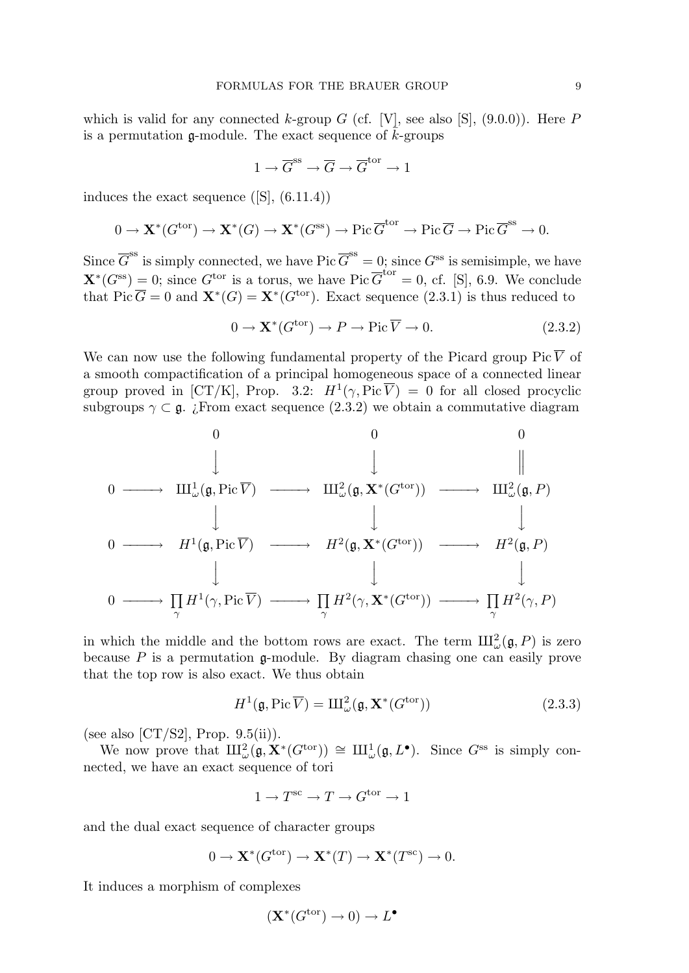which is valid for any connected k-group  $G$  (cf. [V], see also [S], (9.0.0)). Here  $P$ is a permutation  $\mathfrak{g}\text{-module}$ . The exact sequence of  $\bar{k}$ -groups

$$
1 \to \overline{G}^{\text{ss}} \to \overline{G} \to \overline{G}^{\text{tor}} \to 1
$$

induces the exact sequence  $(S<sub>1</sub>, (6.11.4))$ 

$$
0 \to \mathbf{X}^*(G^{\text{tor}}) \to \mathbf{X}^*(G) \to \mathbf{X}^*(G^{\text{ss}}) \to \text{Pic}\,\overline{G}^{\text{tor}} \to \text{Pic}\,\overline{G} \to \text{Pic}\,\overline{G}^{\text{ss}} \to 0.
$$

Since  $\overline{G}^{\text{ss}}$  is simply connected, we have Pic  $\overline{G}^{\text{ss}} = 0$ ; since  $G^{\text{ss}}$  is semisimple, we have  $\mathbf{X}^*(G^{\text{ss}}) = 0$ ; since  $G^{\text{tor}}$  is a torus, we have Pic  $\overline{G}^{\text{tor}} = 0$ , cf. [S], 6.9. We conclude that Pic  $\overline{G} = 0$  and  $\mathbf{X}^*(G) = \mathbf{X}^*(G^{\text{tor}})$ . Exact sequence (2.3.1) is thus reduced to

$$
0 \to \mathbf{X}^*(G^{\text{tor}}) \to P \to \text{Pic}\,\overline{V} \to 0. \tag{2.3.2}
$$

We can now use the following fundamental property of the Picard group Pic  $\overline{V}$  of a smooth compactification of a principal homogeneous space of a connected linear group proved in [CT/K], Prop. 3.2:  $H^1(\gamma, Pic \overline{V}) = 0$  for all closed procyclic subgroups  $\gamma \subset \mathfrak{g}$ . ¿From exact sequence (2.3.2) we obtain a commutative diagram

0 0 0 y y 0 −−−−→ X<sup>1</sup> <sup>ω</sup>(g,Pic V ) −−−−→ X<sup>2</sup> <sup>ω</sup>(g, X<sup>∗</sup> (Gtor)) −−−−→ X<sup>2</sup> <sup>ω</sup>(g, P) y y y 0 −−−−→ H<sup>1</sup> (g,Pic V ) −−−−→ H<sup>2</sup> (g, X<sup>∗</sup> (Gtor)) −−−−→ H<sup>2</sup> (g, P) y y y 0 −−−−→ Q γ H<sup>1</sup> (γ,Pic V ) −−−−→ Q γ H<sup>2</sup> (γ, X<sup>∗</sup> (Gtor)) −−−−→ Q γ H<sup>2</sup> (γ, P)

in which the middle and the bottom rows are exact. The term  $\mathrm{III}^2_\omega(\mathfrak{g}, P)$  is zero because  $P$  is a permutation  $\mathfrak{g}\text{-module}$ . By diagram chasing one can easily prove that the top row is also exact. We thus obtain

$$
H^{1}(\mathfrak{g}, \mathrm{Pic}\,\overline{V}) = \mathrm{III}_{\omega}^{2}(\mathfrak{g}, \mathbf{X}^{*}(G^{\mathrm{tor}}))
$$
\n(2.3.3)

(see also  $\left[\text{CT/S2}\right]$ , Prop. 9.5(ii)).

We now prove that  $\mathrm{III}_{\omega}^2(\mathfrak{g}, \mathbf{X}^*(G^{\text{tor}})) \cong \mathrm{III}_{\omega}^1(\mathfrak{g}, L^{\bullet})$ . Since  $G^{\text{ss}}$  is simply connected, we have an exact sequence of tori

$$
1\to T^{\operatorname{sc}}\to T\to G^{\operatorname{tor}}\to 1
$$

and the dual exact sequence of character groups

$$
0 \to \mathbf{X}^*(G^{\text{tor}}) \to \mathbf{X}^*(T) \to \mathbf{X}^*(T^{\text{sc}}) \to 0.
$$

It induces a morphism of complexes

$$
(\mathbf{X}^*(G^{\text{tor}}) \to 0) \to L^{\bullet}
$$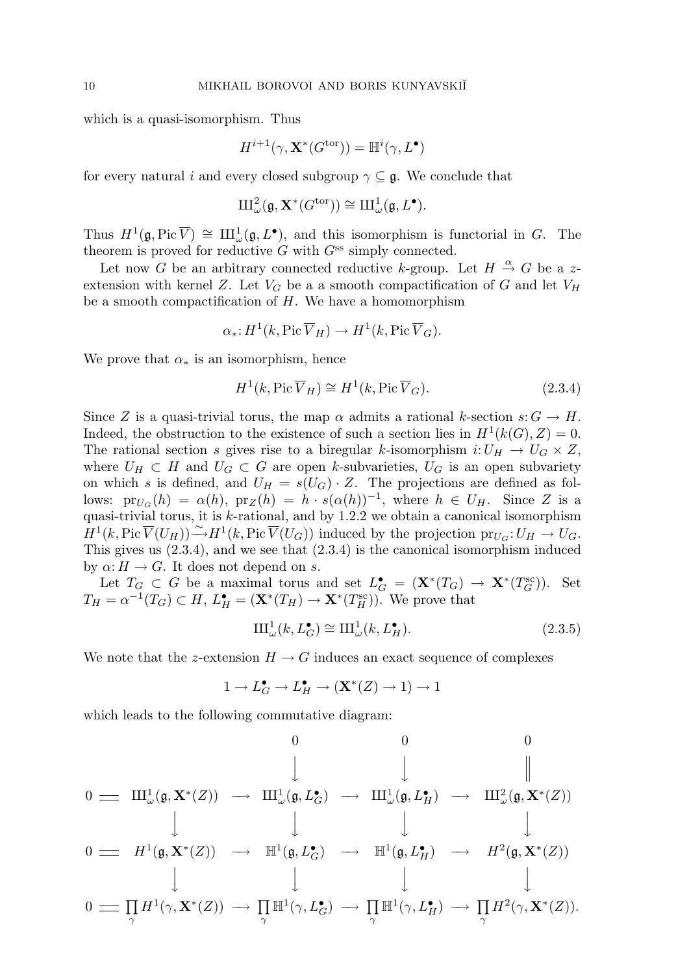which is a quasi-isomorphism. Thus

$$
H^{i+1}(\gamma, \mathbf{X}^*(G^{\mathrm{tor}})) = \mathbb{H}^i(\gamma, L^{\bullet})
$$

for every natural i and every closed subgroup  $\gamma \subseteq \mathfrak{g}$ . We conclude that

$$
\operatorname{III}_{\omega}^2({\mathfrak g}, {\mathbf X}^*(G^{\mathrm{tor}})) \cong \operatorname{III}_{\omega}^1({\mathfrak g}, L^{\bullet}).
$$

Thus  $H^1(\mathfrak{g}, \text{Pic}\overline{V}) \cong \text{III}_{\omega}^1(\mathfrak{g}, L^{\bullet}),$  and this isomorphism is functorial in G. The theorem is proved for reductive  $G$  with  $G^{ss}$  simply connected.

Let now G be an arbitrary connected reductive k-group. Let  $H \stackrel{\alpha}{\rightarrow} G$  be a zextension with kernel Z. Let  $V_G$  be a a smooth compactification of G and let  $V_H$ be a smooth compactification of  $H$ . We have a homomorphism

$$
\alpha_* \colon H^1(k, \operatorname{Pic} \overline{V}_H) \to H^1(k, \operatorname{Pic} \overline{V}_G).
$$

We prove that  $\alpha_*$  is an isomorphism, hence

$$
H^{1}(k, \text{Pic}\,\overline{V}_{H}) \cong H^{1}(k, \text{Pic}\,\overline{V}_{G}).
$$
\n(2.3.4)

Since Z is a quasi-trivial torus, the map  $\alpha$  admits a rational k-section  $s: G \to H$ . Indeed, the obstruction to the existence of such a section lies in  $H^1(k(G), Z) = 0$ . The rational section s gives rise to a biregular k-isomorphism  $i:U_H \to U_G \times Z$ , where  $U_H \subset H$  and  $U_G \subset G$  are open k-subvarieties,  $U_G$  is an open subvariety on which s is defined, and  $U_H = s(U_G) \cdot Z$ . The projections are defined as follows:  $pr_{U_G}(h) = \alpha(h)$ ,  $pr_Z(h) = h \cdot s(\alpha(h))^{-1}$ , where  $h \in U_H$ . Since Z is a quasi-trivial torus, it is k-rational, and by 1.2.2 we obtain a canonical isomorphism  $H^1(k, \text{Pic }\overline{V}(U_H)) \stackrel{\sim}{\longrightarrow} H^1(k, \text{Pic }\overline{V}(U_G))$  induced by the projection  $\text{pr}_{U_G}: U_H \to U_G$ . This gives us (2.3.4), and we see that (2.3.4) is the canonical isomorphism induced by  $\alpha: H \to G$ . It does not depend on s.

Let  $T_G \subset G$  be a maximal torus and set  $L_G^{\bullet} = (\mathbf{X}^*(T_G) \to \mathbf{X}^*(T_G^{\text{sc}}))$ . Set  $T_H = \alpha^{-1}(T_G) \subset H$ ,  $L_H^{\bullet} = (\mathbf{X}^*(T_H) \to \mathbf{X}^*(T_H^{\text{sc}}))$ . We prove that

$$
\mathrm{III}_{\omega}^{1}(k, L_{G}^{\bullet}) \cong \mathrm{III}_{\omega}^{1}(k, L_{H}^{\bullet}). \tag{2.3.5}
$$

We note that the z-extension  $H \to G$  induces an exact sequence of complexes

$$
1 \to L_G^{\bullet} \to L_H^{\bullet} \to (\mathbf{X}^*(Z) \to 1) \to 1
$$

which leads to the following commutative diagram:

0 0 0 y y 0 X<sup>1</sup> <sup>ω</sup>(g, X<sup>∗</sup> (Z)) −→ X<sup>1</sup> ω(g, L• <sup>G</sup>) −→ X<sup>1</sup> ω(g, L• <sup>H</sup>) −→ X<sup>2</sup> <sup>ω</sup>(g, X<sup>∗</sup> (Z)) y y y y 0 H<sup>1</sup> (g, X<sup>∗</sup> (Z)) −→ H<sup>1</sup> (g, L• <sup>G</sup>) −→ H<sup>1</sup> (g, L• <sup>H</sup>) −→ H<sup>2</sup> (g, X<sup>∗</sup> (Z)) y y y y 0 Q γ H<sup>1</sup> (γ, X<sup>∗</sup> (Z)) −→ Q γ H<sup>1</sup> (γ, L• <sup>G</sup>) −→ Q γ H<sup>1</sup> (γ, L• <sup>H</sup>) −→ Q γ H<sup>2</sup> (γ, X<sup>∗</sup> (Z)).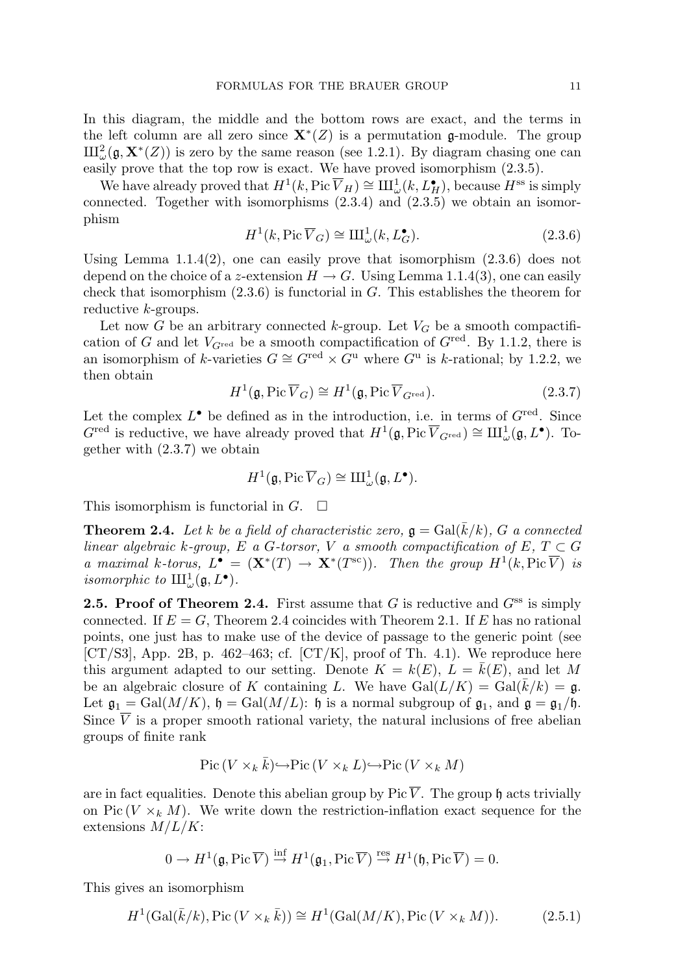In this diagram, the middle and the bottom rows are exact, and the terms in the left column are all zero since  $\mathbf{X}^*(Z)$  is a permutation g-module. The group  $\mathrm{III}_{\omega}^2(\mathfrak{g}, \mathbf{X}^*(Z))$  is zero by the same reason (see 1.2.1). By diagram chasing one can easily prove that the top row is exact. We have proved isomorphism (2.3.5).

We have already proved that  $H^1(k, \text{Pic }\overline{V}_H) \cong \text{III}^1_\omega(k, L_H^{\bullet}),$  because  $H^{\text{ss}}$  is simply connected. Together with isomorphisms (2.3.4) and (2.3.5) we obtain an isomorphism

$$
H^1(k, \text{Pic }\overline{V}_G) \cong \text{III}_{\omega}^1(k, L_G^{\bullet}).\tag{2.3.6}
$$

Using Lemma  $1.1.4(2)$ , one can easily prove that isomorphism  $(2.3.6)$  does not depend on the choice of a z-extension  $H \to G$ . Using Lemma 1.1.4(3), one can easily check that isomorphism  $(2.3.6)$  is functorial in G. This establishes the theorem for reductive k-groups.

Let now G be an arbitrary connected k-group. Let  $V_G$  be a smooth compactification of G and let  $V_{G^{\text{red}}}$  be a smooth compactification of  $G^{\text{red}}$ . By 1.1.2, there is an isomorphism of k-varieties  $G \cong G^{\text{red}} \times \tilde{G}^{\text{u}}$  where  $G^{\text{u}}$  is k-rational; by 1.2.2, we then obtain

$$
H^{1}(\mathfrak{g}, \mathrm{Pic}\,\overline{V}_{G}) \cong H^{1}(\mathfrak{g}, \mathrm{Pic}\,\overline{V}_{G^{\mathrm{red}}}). \tag{2.3.7}
$$

Let the complex  $L^{\bullet}$  be defined as in the introduction, i.e. in terms of  $G^{\text{red}}$ . Since  $G^{\text{red}}$  is reductive, we have already proved that  $H^1(\mathfrak{g}, \text{Pic }\overline{V}_{G^{\text{red}}}) \cong \text{III}_{\omega}^1(\mathfrak{g}, L^{\bullet}).$  Together with (2.3.7) we obtain

$$
H^1(\mathfrak{g}, \mathrm{Pic\,} \overline{V}_G) \cong \mathrm{III}_{\omega}^1(\mathfrak{g}, L^{\bullet}).
$$

This isomorphism is functorial in  $G$ .  $\square$ 

**Theorem 2.4.** Let k be a field of characteristic zero,  $\mathfrak{g} = \text{Gal}(\overline{k}/k)$ , G a connected linear algebraic k-group, E a G-torsor, V a smooth compactification of E,  $T \subset G$ a maximal k-torus,  $L^{\bullet} = (\mathbf{X}^*(T) \to \mathbf{X}^*(T^{\text{sc}}))$ . Then the group  $H^1(k, \text{Pic }\overline{V})$  is isomorphic to  $\mathrm{III}^1_\omega(\mathfrak{g}, L^{\bullet}).$ 

**2.5. Proof of Theorem 2.4.** First assume that G is reductive and  $G^{ss}$  is simply connected. If  $E = G$ , Theorem 2.4 coincides with Theorem 2.1. If E has no rational points, one just has to make use of the device of passage to the generic point (see [CT/S3], App. 2B, p. 462–463; cf. [CT/K], proof of Th. 4.1). We reproduce here this argument adapted to our setting. Denote  $K = k(E)$ ,  $L = k(E)$ , and let M be an algebraic closure of K containing L. We have  $Gal(L/K) = Gal(\overline{k}/k) = \mathfrak{g}$ . Let  $\mathfrak{g}_1 = \text{Gal}(M/K)$ ,  $\mathfrak{h} = \text{Gal}(M/L)$ :  $\mathfrak{h}$  is a normal subgroup of  $\mathfrak{g}_1$ , and  $\mathfrak{g} = \mathfrak{g}_1/\mathfrak{h}$ . Since  $\overline{V}$  is a proper smooth rational variety, the natural inclusions of free abelian groups of finite rank

$$
Pic (V \times_k \bar{k}) \hookrightarrow Pic (V \times_k L) \hookrightarrow Pic (V \times_k M)
$$

are in fact equalities. Denote this abelian group by Pic  $\overline{V}$ . The group h acts trivially on Pic  $(V \times_k M)$ . We write down the restriction-inflation exact sequence for the extensions  $M/L/K$ :

$$
0 \to H^1(\mathfrak{g}, \mathrm{Pic}\,\overline{V}) \stackrel{\inf}{\to} H^1(\mathfrak{g}_1, \mathrm{Pic}\,\overline{V}) \stackrel{\text{res}}{\to} H^1(\mathfrak{h}, \mathrm{Pic}\,\overline{V}) = 0.
$$

This gives an isomorphism

$$
H^1(\text{Gal}(\bar{k}/k), \text{Pic}(V \times_k \bar{k})) \cong H^1(\text{Gal}(M/K), \text{Pic}(V \times_k M)).
$$
 (2.5.1)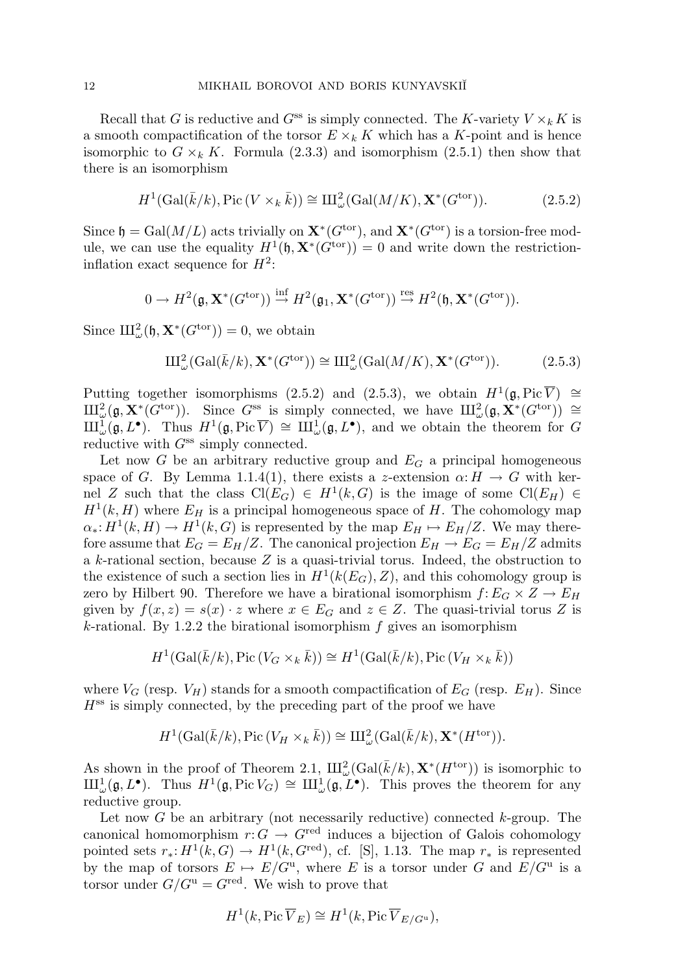Recall that G is reductive and  $G^{ss}$  is simply connected. The K-variety  $V \times_k K$  is a smooth compactification of the torsor  $E \times_k K$  which has a K-point and is hence isomorphic to  $G \times_k K$ . Formula (2.3.3) and isomorphism (2.5.1) then show that there is an isomorphism

$$
H^1(\text{Gal}(\bar{k}/k), \text{Pic}\,(V \times_k \bar{k})) \cong \text{III}_{\omega}^2(\text{Gal}(M/K), \mathbf{X}^*(G^{\text{tor}})).
$$
 (2.5.2)

Since  $\mathfrak{h} = \text{Gal}(M/L)$  acts trivially on  $\mathbf{X}^*(G^{\text{tor}})$ , and  $\mathbf{X}^*(G^{\text{tor}})$  is a torsion-free module, we can use the equality  $H^1(\mathfrak{h}, \mathbf{X}^*(G^{\text{tor}})) = 0$  and write down the restrictioninflation exact sequence for  $H^2$ :

$$
0 \to H^2(\mathfrak{g}, \mathbf{X}^*(G^{\text{tor}})) \stackrel{\text{inf}}{\to} H^2(\mathfrak{g}_1, \mathbf{X}^*(G^{\text{tor}})) \stackrel{\text{res}}{\to} H^2(\mathfrak{h}, \mathbf{X}^*(G^{\text{tor}})).
$$

Since  $\mathrm{III}^2_\omega(\mathfrak{h}, \mathbf{X}^*(G^{\text{tor}})) = 0$ , we obtain

$$
\mathrm{III}_{\omega}^{2}(\mathrm{Gal}(\bar{k}/k), \mathbf{X}^{*}(G^{\mathrm{tor}})) \cong \mathrm{III}_{\omega}^{2}(\mathrm{Gal}(M/K), \mathbf{X}^{*}(G^{\mathrm{tor}})).
$$
 (2.5.3)

Putting together isomorphisms (2.5.2) and (2.5.3), we obtain  $H^1(\mathfrak{g}, Pic \overline{V}) \cong$  $\mathrm{III}_{\omega}^2(\mathfrak{g}, \mathbf{X}^*(G^{\text{tor}})).$  Since  $G^{\text{ss}}$  is simply connected, we have  $\mathrm{III}_{\omega}^2(\mathfrak{g}, \mathbf{X}^*(G^{\text{tor}})) \cong$  $\mathrm{III}^{\mathrm{I}}_{\omega}(\mathfrak{g},L^{\bullet}).$  Thus  $H^1(\mathfrak{g},\mathrm{Pic}\overline{V}) \cong \mathrm{III}^{\mathrm{I}}_{\omega}(\mathfrak{g},L^{\bullet}),$  and we obtain the theorem for G reductive with  $G^{ss}$  simply connected.

Let now G be an arbitrary reductive group and  $E_G$  a principal homogeneous space of G. By Lemma 1.1.4(1), there exists a z-extension  $\alpha: H \to G$  with kernel Z such that the class  $Cl(E_G) \in H^1(k, G)$  is the image of some  $Cl(E_H) \in$  $H<sup>1</sup>(k, H)$  where  $E<sub>H</sub>$  is a principal homogeneous space of H. The cohomology map  $\alpha_*: H^1(k, H) \to H^1(k, G)$  is represented by the map  $E_H \mapsto E_H/Z$ . We may therefore assume that  $E_G = E_H/Z$ . The canonical projection  $E_H \to E_G = E_H/Z$  admits a k-rational section, because Z is a quasi-trivial torus. Indeed, the obstruction to the existence of such a section lies in  $H^1(k(E_G), Z)$ , and this cohomology group is zero by Hilbert 90. Therefore we have a birational isomorphism  $f: E_G \times Z \to E_H$ given by  $f(x, z) = s(x) \cdot z$  where  $x \in E_G$  and  $z \in Z$ . The quasi-trivial torus Z is k-rational. By 1.2.2 the birational isomorphism  $f$  gives an isomorphism

$$
H^1(\text{Gal}(\bar{k}/k), \text{Pic}(V_G \times_k \bar{k})) \cong H^1(\text{Gal}(\bar{k}/k), \text{Pic}(V_H \times_k \bar{k}))
$$

where  $V_G$  (resp.  $V_H$ ) stands for a smooth compactification of  $E_G$  (resp.  $E_H$ ). Since  $H<sup>ss</sup>$  is simply connected, by the preceding part of the proof we have

$$
H^1(\text{Gal}(\bar{k}/k), \text{Pic}(V_H \times_k \bar{k})) \cong \mathrm{III}_{\omega}^2(\text{Gal}(\bar{k}/k), \mathbf{X}^*(H^{\text{tor}})).
$$

As shown in the proof of Theorem 2.1,  $\text{III}^2_\omega(\text{Gal}(\bar{k}/k), \mathbf{X}^*(H^{\text{tor}}))$  is isomorphic to  $\mathrm{III}_{\omega}^1(\mathfrak{g}, L^{\bullet})$ . Thus  $H^1(\mathfrak{g}, \mathrm{Pic} V_G) \cong \mathrm{III}_{\omega}^1(\mathfrak{g}, L^{\bullet})$ . This proves the theorem for any reductive group.

Let now  $G$  be an arbitrary (not necessarily reductive) connected  $k$ -group. The canonical homomorphism  $r: G \to G^{\text{red}}$  induces a bijection of Galois cohomology pointed sets  $r_*: H^1(k, G) \to H^1(k, G^{\text{red}})$ , cf. [S], 1.13. The map  $r_*$  is represented by the map of torsors  $E \mapsto E/G^u$ , where E is a torsor under G and  $E/G^u$  is a torsor under  $G/G^{\mathrm{u}} = G^{\mathrm{red}}$ . We wish to prove that

$$
H^1(k, \mathrm{Pic}\,\overline{V}_E) \cong H^1(k, \mathrm{Pic}\,\overline{V}_{E/G^{\mathrm{u}}}),
$$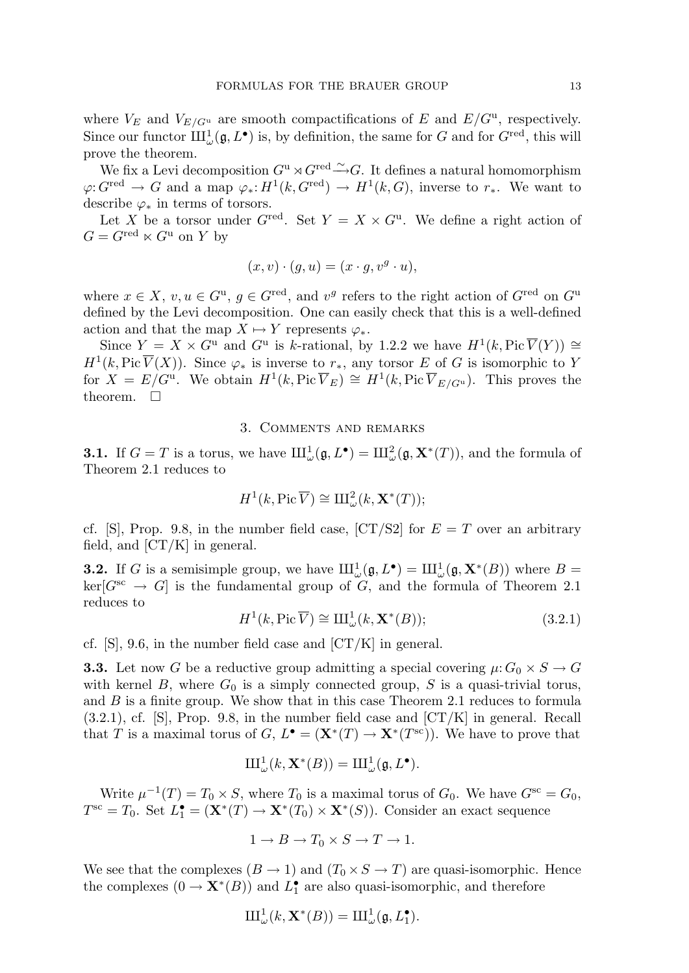where  $V_E$  and  $V_{E/G^{\mathrm{u}}}$  are smooth compactifications of E and  $E/G^{\mathrm{u}}$ , respectively. Since our functor  $III_\omega^1(\mathfrak{g}, L^{\bullet})$  is, by definition, the same for G and for  $G^{\text{red}}$ , this will prove the theorem.

We fix a Levi decomposition  $G^{\mathrm{u}} \rtimes G^{\mathrm{red}} \xrightarrow{\sim} G$ . It defines a natural homomorphism  $\varphi: G^{\text{red}} \to G$  and a map  $\varphi_*: H^1(k, G^{\text{red}}) \to H^1(k, G)$ , inverse to  $r_*$ . We want to describe  $\varphi_*$  in terms of torsors.

Let X be a torsor under  $G^{\text{red}}$ . Set  $Y = X \times G^{\text{u}}$ . We define a right action of  $G = G^{\text{red}} \ltimes G^{\text{u}}$  on Y by

$$
(x,v)\cdot (g,u)=(x\cdot g,v^g\cdot u),
$$

where  $x \in X$ ,  $v, u \in G^{\mathrm{u}}$ ,  $g \in G^{\mathrm{red}}$ , and  $v^g$  refers to the right action of  $G^{\mathrm{red}}$  on  $G^{\mathrm{u}}$ defined by the Levi decomposition. One can easily check that this is a well-defined action and that the map  $X \mapsto Y$  represents  $\varphi_*$ .

Since  $Y = X \times G^{\mathrm{u}}$  and  $G^{\mathrm{u}}$  is k-rational, by 1.2.2 we have  $H^1(k, \mathrm{Pic}\,\overline{V}(Y)) \cong$  $H^1(k, Pic \overline{V}(X))$ . Since  $\varphi_*$  is inverse to  $r_*,$  any torsor E of G is isomorphic to Y for  $X = E/G^u$ . We obtain  $H^1(k, Pic \overline{V}_E) \cong H^1(k, Pic \overline{V}_{E/G^u})$ . This proves the theorem.  $\square$ 

#### 3. Comments and remarks

**3.1.** If  $G = T$  is a torus, we have  $\text{III}^1_{\omega}(\mathfrak{g}, L^{\bullet}) = \text{III}^2_{\omega}(\mathfrak{g}, \mathbf{X}^*(T))$ , and the formula of Theorem 2.1 reduces to

$$
H^1(k, \mathrm{Pic}\,\overline{V}) \cong \mathrm{III}_{\omega}^2(k, \mathbf{X}^*(T));
$$

cf. [S], Prop. 9.8, in the number field case,  $\left[CT/22\right]$  for  $E = T$  over an arbitrary field, and  $\left[ \frac{CT}{K} \right]$  in general.

**3.2.** If G is a semisimple group, we have  $\mathrm{III}^1_\omega(\mathfrak{g}, L^{\bullet}) = \mathrm{III}^1_\omega(\mathfrak{g}, \mathbf{X}^*(B))$  where  $B =$  $\text{ker}[G^{\text{sc}} \to G]$  is the fundamental group of G, and the formula of Theorem 2.1 reduces to

$$
H^{1}(k, \text{Pic }\overline{V}) \cong \text{III}_{\omega}^{1}(k, \mathbf{X}^{*}(B)); \tag{3.2.1}
$$

cf.  $[S]$ , 9.6, in the number field case and  $\left[CT/K\right]$  in general.

**3.3.** Let now G be a reductive group admitting a special covering  $\mu$ :  $G_0 \times S \to G$ with kernel B, where  $G_0$  is a simply connected group, S is a quasi-trivial torus, and B is a finite group. We show that in this case Theorem 2.1 reduces to formula  $(3.2.1)$ , cf. [S], Prop. 9.8, in the number field case and  $\left[CT/K\right]$  in general. Recall that T is a maximal torus of G,  $L^{\bullet} = (\mathbf{X}^*(T) \to \mathbf{X}^*(T^{\text{sc}}))$ . We have to prove that

$$
\mathrm{III}^1_{\omega}(k,\mathbf{X}^*(B))=\mathrm{III}^1_{\omega}(\mathfrak{g},L^{\bullet}).
$$

Write  $\mu^{-1}(T) = T_0 \times S$ , where  $T_0$  is a maximal torus of  $G_0$ . We have  $G^{sc} = G_0$ ,  $T^{\rm sc} = T_0$ . Set  $L_1^{\bullet} = (\mathbf{X}^*(T) \to \mathbf{X}^*(T_0) \times \mathbf{X}^*(S))$ . Consider an exact sequence

$$
1 \to B \to T_0 \times S \to T \to 1.
$$

We see that the complexes  $(B \to 1)$  and  $(T_0 \times S \to T)$  are quasi-isomorphic. Hence the complexes  $(0 \to \mathbf{X}^*(B))$  and  $L_1^{\bullet}$  are also quasi-isomorphic, and therefore

$$
\mathrm{III}^1_{\omega}(k,\mathbf{X}^*(B))=\mathrm{III}^1_{\omega}(\mathfrak{g},L_1^{\bullet}).
$$